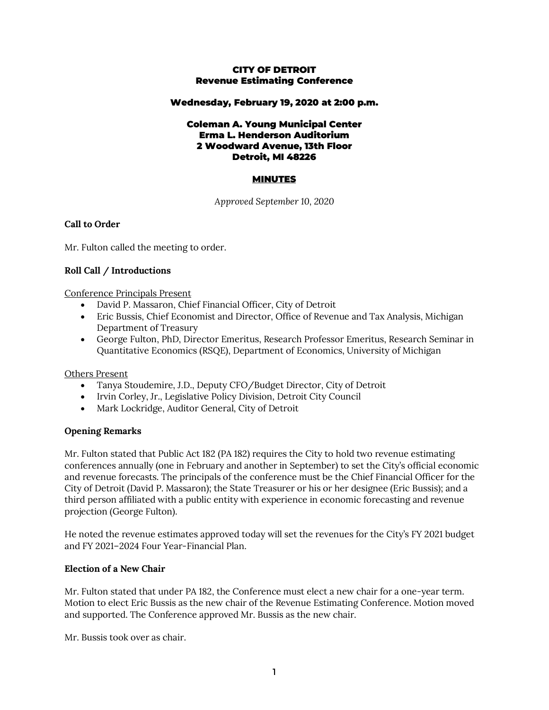### CITY OF DETROIT Revenue Estimating Conference

#### Wednesday, February 19, 2020 at 2:00 p.m.

#### Coleman A. Young Municipal Center Erma L. Henderson Auditorium 2 Woodward Avenue, 13th Floor Detroit, MI 48226

## MINUTES

*Approved September 10, 2020*

#### **Call to Order**

Mr. Fulton called the meeting to order.

#### **Roll Call / Introductions**

Conference Principals Present

- David P. Massaron, Chief Financial Officer, City of Detroit
- Eric Bussis, Chief Economist and Director, Office of Revenue and Tax Analysis, Michigan Department of Treasury
- George Fulton, PhD, Director Emeritus, Research Professor Emeritus, Research Seminar in Quantitative Economics (RSQE), Department of Economics, University of Michigan

#### Others Present

- Tanya Stoudemire, J.D., Deputy CFO/Budget Director, City of Detroit
- Irvin Corley, Jr., Legislative Policy Division, Detroit City Council
- Mark Lockridge, Auditor General, City of Detroit

#### **Opening Remarks**

Mr. Fulton stated that Public Act 182 (PA 182) requires the City to hold two revenue estimating conferences annually (one in February and another in September) to set the City's official economic and revenue forecasts. The principals of the conference must be the Chief Financial Officer for the City of Detroit (David P. Massaron); the State Treasurer or his or her designee (Eric Bussis); and a third person affiliated with a public entity with experience in economic forecasting and revenue projection (George Fulton).

He noted the revenue estimates approved today will set the revenues for the City's FY 2021 budget and FY 2021–2024 Four Year-Financial Plan.

#### **Election of a New Chair**

Mr. Fulton stated that under PA 182, the Conference must elect a new chair for a one-year term. Motion to elect Eric Bussis as the new chair of the Revenue Estimating Conference. Motion moved and supported. The Conference approved Mr. Bussis as the new chair.

Mr. Bussis took over as chair.